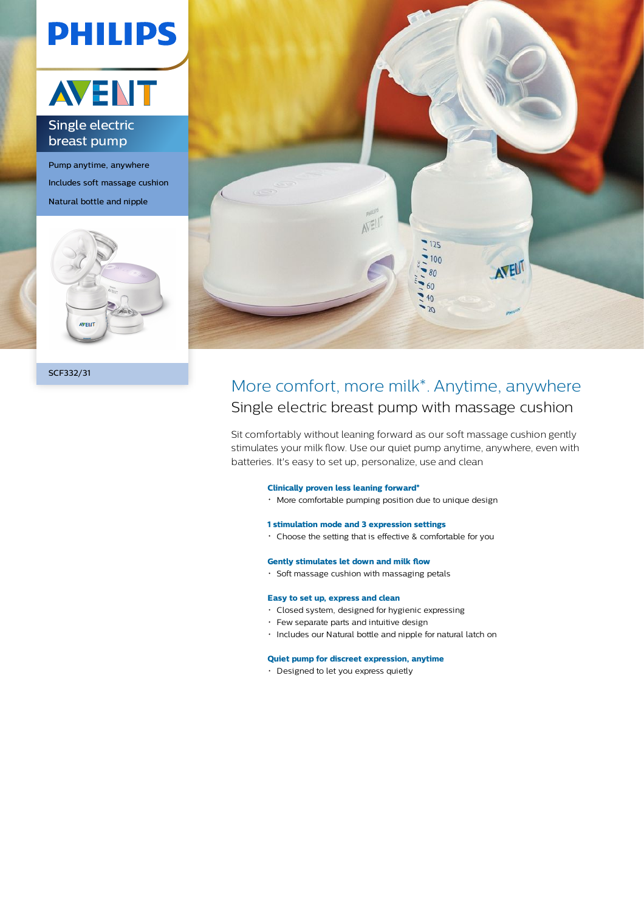# **PHILIPS**



### Single electric breast pump

Pump anytime, anywhere Includes soft massage cushion Natural bottle and nipple



SCF332/31



## More comfort, more milk\*. Anytime, anywhere Single electric breast pump with massage cushion

Sit comfortably without leaning forward as our soft massage cushion gently stimulates your milk flow. Use our quiet pump anytime, anywhere, even with batteries. It's easy to set up, personalize, use and clean

#### **Clinically proven less leaning forward\***

More comfortable pumping position due to unique design

#### **1 stimulation mode and 3 expression settings**

Choose the setting that is effective & comfortable for you

#### **Gently stimulates let down and milk flow**

 $\cdot$  Soft massage cushion with massaging petals

#### **Easy to set up, express and clean**

- Closed system, designed for hygienic expressing
- Few separate parts and intuitive design
- Includes our Natural bottle and nipple for natural latch on

#### **Quiet pump for discreet expression, anytime**

Designed to let you express quietly